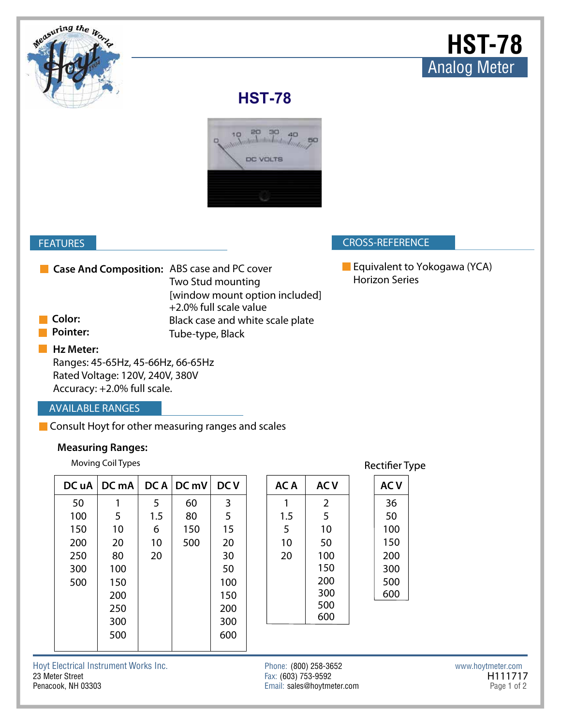

## **HST-78**



#### **CROSS-REFERENCE**

# **Hz Meter:**

### **AVAILABLE RANGES**

#### **Measuring Ranges:**

|                                                    | <b>FEATURES</b>                                                                                                  |       |      |                                                                               |            |                       |                                              |                |                                                       | <b>CROSS-REFERENCE</b> |  |                   |         |
|----------------------------------------------------|------------------------------------------------------------------------------------------------------------------|-------|------|-------------------------------------------------------------------------------|------------|-----------------------|----------------------------------------------|----------------|-------------------------------------------------------|------------------------|--|-------------------|---------|
| Case And Composition: ABS case and PC cover        |                                                                                                                  |       |      | Two Stud mounting<br>[window mount option included]<br>+2.0% full scale value |            |                       |                                              |                | Equivalent to Yokogawa (YCA)<br><b>Horizon Series</b> |                        |  |                   |         |
| Color:                                             |                                                                                                                  |       |      | Black case and white scale plate                                              |            |                       |                                              |                |                                                       |                        |  |                   |         |
|                                                    | <b>Pointer:</b>                                                                                                  |       |      | Tube-type, Black                                                              |            |                       |                                              |                |                                                       |                        |  |                   |         |
|                                                    | Hz Meter:<br>Ranges: 45-65Hz, 45-66Hz, 66-65Hz<br>Rated Voltage: 120V, 240V, 380V<br>Accuracy: +2.0% full scale. |       |      |                                                                               |            |                       |                                              |                |                                                       |                        |  |                   |         |
| <b>AVAILABLE RANGES</b>                            |                                                                                                                  |       |      |                                                                               |            |                       |                                              |                |                                                       |                        |  |                   |         |
| Consult Hoyt for other measuring ranges and scales |                                                                                                                  |       |      |                                                                               |            |                       |                                              |                |                                                       |                        |  |                   |         |
| <b>Measuring Ranges:</b>                           |                                                                                                                  |       |      |                                                                               |            |                       |                                              |                |                                                       |                        |  |                   |         |
|                                                    | Moving Coil Types                                                                                                |       |      |                                                                               |            | <b>Rectifier Type</b> |                                              |                |                                                       |                        |  |                   |         |
|                                                    | DC uA                                                                                                            | DC mA | DC A | DC mV                                                                         | <b>DCV</b> |                       | AC A                                         | <b>ACV</b>     |                                                       | <b>ACV</b>             |  |                   |         |
|                                                    | 50                                                                                                               | 1     | 5    | 60                                                                            | 3          |                       | 1                                            | $\overline{2}$ |                                                       | 36                     |  |                   |         |
|                                                    | 100                                                                                                              | 5     | 1.5  | 80                                                                            | 5          |                       | 1.5                                          | 5              |                                                       | 50                     |  |                   |         |
|                                                    | 150                                                                                                              | 10    | 6    | 150                                                                           | 15         |                       | 5                                            | 10             |                                                       | 100                    |  |                   |         |
|                                                    | 200                                                                                                              | 20    | 10   | 500                                                                           | 20         |                       | 10                                           | 50             |                                                       | 150                    |  |                   |         |
|                                                    | 250                                                                                                              | 80    | 20   |                                                                               | 30         |                       | 20                                           | 100            |                                                       | 200                    |  |                   |         |
|                                                    | 300                                                                                                              | 100   |      |                                                                               | 50         |                       |                                              | 150            |                                                       | 300                    |  |                   |         |
|                                                    | 500                                                                                                              | 150   |      |                                                                               | 100        |                       |                                              | 200            |                                                       | 500                    |  |                   |         |
|                                                    |                                                                                                                  | 200   |      |                                                                               | 150        |                       |                                              | 300            |                                                       | 600                    |  |                   |         |
|                                                    |                                                                                                                  | 250   |      |                                                                               | 200        |                       |                                              | 500<br>600     |                                                       |                        |  |                   |         |
|                                                    |                                                                                                                  | 300   |      |                                                                               | 300        |                       |                                              |                |                                                       |                        |  |                   |         |
|                                                    |                                                                                                                  | 500   |      |                                                                               | 600        |                       |                                              |                |                                                       |                        |  |                   |         |
|                                                    | oyt Electrical Instrument Works Inc.<br>3 Meter Street                                                           |       |      |                                                                               |            |                       | Phone: (800) 258-3652<br>Fax: (603) 753-9592 |                |                                                       |                        |  | www.hoytmeter.com | H111717 |

| AC A | <b>ACV</b>     | <b>AC V</b> |
|------|----------------|-------------|
| 1    | $\overline{2}$ | 36          |
| 1.5  | 5              | 50          |
| 5    | 10             | 100         |
| 10   | 50             | 150         |
| 20   | 100            | 200         |
|      | 150            | 300         |
|      | 200            | 500         |
|      | 300            | 600         |
|      | 500            |             |
|      | 600            |             |
|      |                |             |
|      |                |             |

Fax: (603) 753-9592